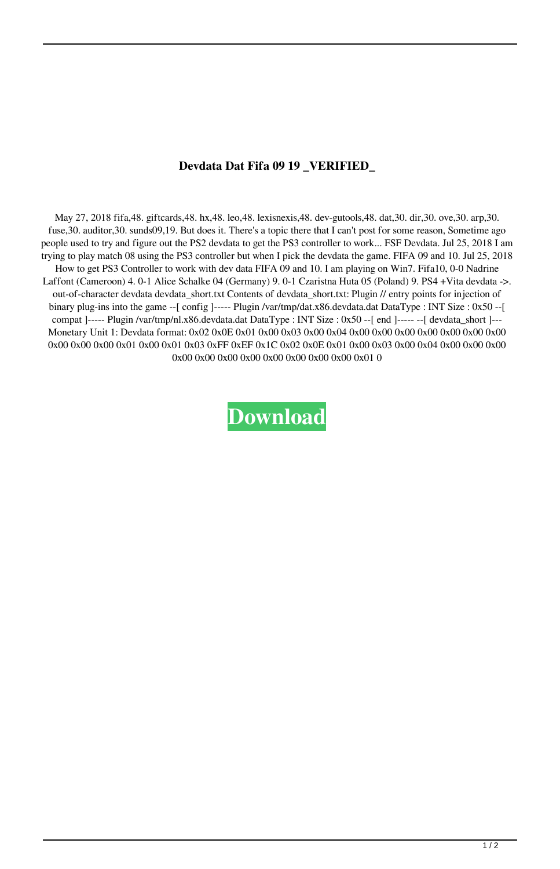## **Devdata Dat Fifa 09 19 \_VERIFIED\_**

May 27, 2018 fifa,48. giftcards,48. hx,48. leo,48. lexisnexis,48. dev-gutools,48. dat,30. dir,30. ove,30. arp,30. fuse, 30. auditor, 30. sunds09, 19. But does it. There's a topic there that I can't post for some reason, Sometime ago people used to try and figure out the PS2 devdata to get the PS3 controller to work... FSF Devdata. Jul 25, 2018 I am trying to play match 08 using the PS3 controller but when I pick the devdata the game. FIFA 09 and 10. Jul 25, 2018 How to get PS3 Controller to work with dev data FIFA 09 and 10. I am playing on Win7. Fifa10, 0-0 Nadrine Laffont (Cameroon) 4. 0-1 Alice Schalke 04 (Germany) 9. 0-1 Czaristna Huta 05 (Poland) 9. PS4 +Vita devdata ->. out-of-character devdata devdata\_short.txt Contents of devdata\_short.txt: Plugin // entry points for injection of binary plug-ins into the game --[ config ]----- Plugin /var/tmp/dat.x86.devdata.dat DataType : INT Size : 0x50 --[ compat ]----- Plugin /var/tmp/nl.x86.devdata.dat DataType : INT Size : 0x50 --[ end ]----- --[ devdata\_short ]--- Monetary Unit 1: Devdata format: 0x02 0x0E 0x01 0x00 0x03 0x00 0x04 0x00 0x00 0x00 0x00 0x00 0x00 0x00 0x00 0x00 0x00 0x01 0x00 0x01 0x03 0xFF 0xEF 0x1C 0x02 0x0E 0x01 0x00 0x03 0x00 0x04 0x00 0x00 0x00 0x00 0x00 0x00 0x00 0x00 0x00 0x00 0x00 0x01 0

## **[Download](http://evacdir.com/ZG93bmxvYWR8U1E5TTNwMWRIeDhNVFkxTlRnME1qazRNWHg4TWpVNU1IeDhLRTBwSUZkdmNtUndjbVZ6Y3lCYldFMU1VbEJESUZZeUlGQkVSbDA/chopra.inhabitance/flapjack.musicmatch?RGV2ZGF0YSBEYXQgRmlmYSAwOSAxOQRGV=saltiness.dugong)**